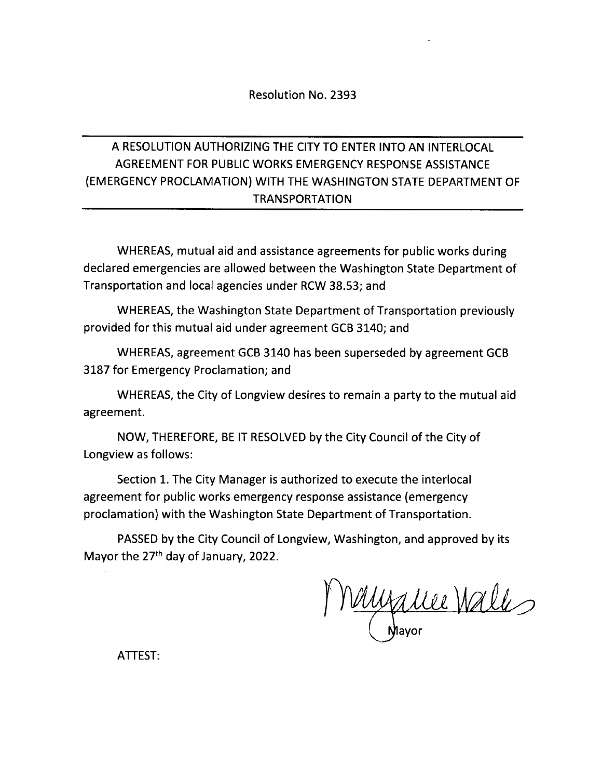### Resolution No. 2393

## A RESOLUTION AUTHORIZING THE CITY TO ENTER INTO AN INTERLOCAL AGREEMENT FOR PUBLIC WORKS EMERGENCY RESPONSE ASSISTANCE EMERGENCY PROCLAMATION) WITH THE WASHINGTON STATE DEPARTMENT OF TRANSPORTATION

WHEREAS, mutual aid and assistance agreements for public works during declared emergencies are allowed between the Washington State Department of Transportation and local agencies under RCW 38. 53; and

WHEREAS, the Washington State Department of Transportation previously provided for this mutual aid under agreement GCB 3140; and

WHEREAS, agreement GCB 3140 has been superseded by agreement GCB 3187 for Emergency Proclamation; and

WHEREAS, the City of Longview desires to remain <sup>a</sup> party to the mutual aid agreement.

NOW, THEREFORE, BE IT RESOLVED by the City Council of the City of Longview as follows:

Section 1. The City Manager is authorized to execute the interlocal agreement for public works emergency response assistance ( emergency proclamation) with the Washington State Department of Transportation.

PASSED by the City Council of Longview, Washington, and approved by its Mayor the 27<sup>th</sup> day of January, 2022.

<u>muzice Wall</u>

ATTEST: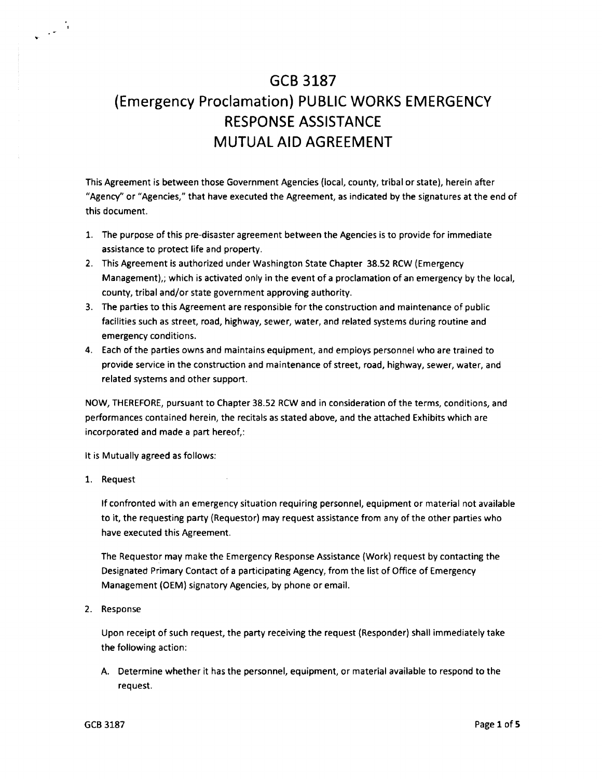# GCB 3187 Emergency Proclamation) PUBLIC WORKS EMERGENCY RESPONSE ASSISTANCE MUTUAL AID AGREEMENT

This Agreement is between those Government Agencies( local, county, tribal or state), herein after "Agency" or "Agencies," that have executed the Agreement, as indicated by the signatures at the end of this document.

- 1. The purpose of this pre- disaster agreement between the Agencies is to provide for immediate assistance to protect life and property.
- 2. This Agreement is authorized under Washington State Chapter 38.52 RCW (Emergency Management),; which is activated only in the event of <sup>a</sup> proclamation of an emergency by the local, county, tribal and/or state government approving authority.
- 3. The parties to this Agreement are responsible for the construction and maintenance of public facilities such as street, road, highway, sewer, water, and related systems during routine and emergency conditions.
- 4. Each of the parties owns and maintains equipment, and employs personnel who are trained to provide service in the construction and maintenance of street, road, highway, sewer, water, and related systems and other support.

NOW, THEREFORE, pursuant to Chapter 38. 52 RCW and in consideration of the terms, conditions, and performances contained herein, the recitals as stated above, and the attached Exhibits which are incorporated and made a part hereof,:

It is Mutually agreed as follows:

1. Request

 $\frac{1}{\sqrt{2}} \left( \frac{1}{2} \right)^{\frac{1}{2}}$ 

If confronted with an emergency situation requiring personnel, equipment or material not available to it, the requesting party( Requestor) may request assistance from any of the other parties who have executed this Agreement.

The Requestor may make the Emergency Response Assistance( Work) request by contacting the Designated Primary Contact of <sup>a</sup> participating Agency, from the list of Office of Emergency Management( OEM) signatory Agencies, by phone or email.

2. Response

Upon receipt of such request, the party receiving the request( Responder) shall immediately take the following action:

A. Determine whether it has the personnel, equipment, or material available to respond to the request.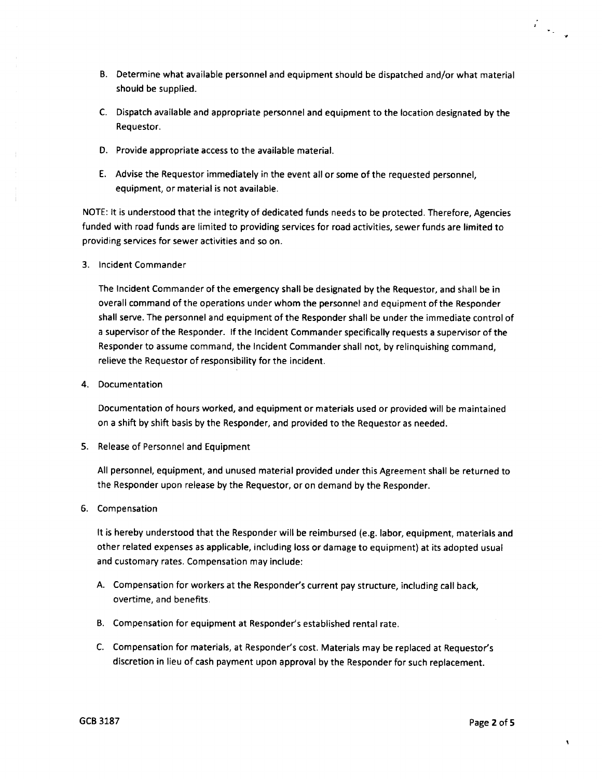- B. Determine what available personnel and equipment should be dispatched and/or what material should be supplied.
- C. Dispatch available and appropriate personnel and equipment to the location designated by the Requestor.
- D. Provide appropriate access to the available material.
- E. Advise the Requestor immediately in the event all or some of the requested personnel, equipment, or material is not available.

NOTE: It is understood that the integrity of dedicated funds needs to be protected. Therefore, Agencies funded with road funds are limited to providing services for road activities, sewer funds are limited to providing services for sewer activities and so on.

3. Incident Commander

The Incident Commander of the emergency shall be designated by the Requestor, and shall be in overall command of the operations under whom the personnel and equipment of the Responder shall serve. The personnel and equipment of the Responder shall be under the immediate control of <sup>a</sup> supervisor of the Responder. If the Incident Commander specifically requests <sup>a</sup> supervisor of the Responder to assume command, the Incident Commander shall not, by relinquishing command, relieve the Requestor of responsibility for the incident.

4. Documentation

Documentation of hours worked, and equipment or materials used or provided will be maintained on a shift by shift basis by the Responder, and provided to the Requestor as needed.

5. Release of Personnel and Equipment

All personnel, equipment, and unused material provided under this Agreement shall be returned to the Responder upon release by the Requestor, or on demand by the Responder.

6. Compensation

It is hereby understood that the Responder will be reimbursed (e.g. labor, equipment, materials and other related expenses as applicable, including loss or damage to equipment) at its adopted usual and customary rates. Compensation may include:

- A. Compensation for workers at the Responder's current pay structure, including call back, overtime, and benefits.
- B. Compensation for equipment at Responder's established rental rate.
- C. Compensation for materials, at Responder's cost. Materials may be replaced at Requestor's discretion in lieu of cash payment upon approval by the Responder for such replacement.

 $\pmb{\mathsf{v}}$ 

 $\frac{1}{2}$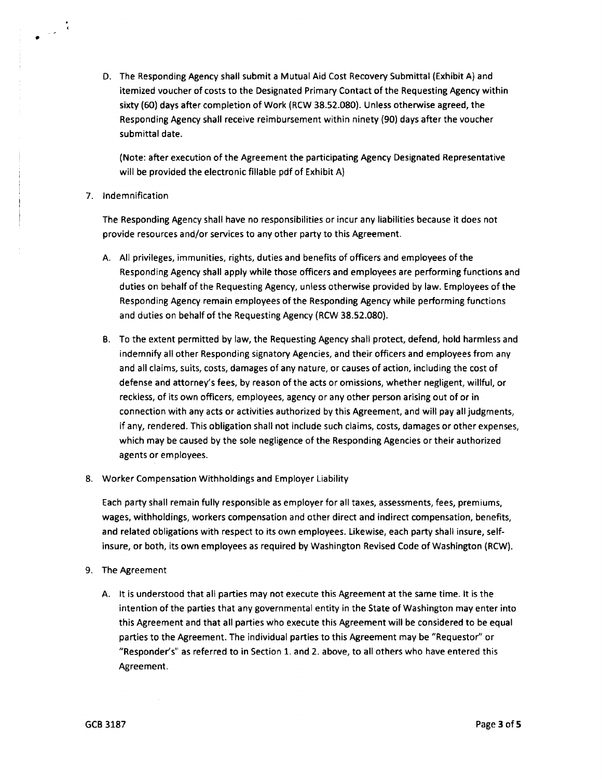D. The Responding Agency shall submit a Mutual Aid Cost Recovery Submittal( Exhibit A) and itemized voucher of costs to the Designated Primary Contact of the Requesting Agency within sixty( 60) days after completion of Work( RCW 38. 52. 080). Unless otherwise agreed, the Responding Agency shall receive reimbursement within ninety( 90) days after the voucher submittal date.

Note: after execution of the Agreement the participating Agency Designated Representative will be provided the electronic fillable pdf of Exhibit A)

#### 7. Indemnification

 $\mathcal{L}(\mathbf{z})$ 

The Responding Agency shall have no responsibilities or incur any liabilities because it does not provide resources and/or services to any other party to this Agreement.

- A. All privileges, immunities, rights, duties and benefits of officers and employees of the Responding Agency shall apply while those officers and employees are performing functions and duties on behalf of the Requesting Agency, unless otherwise provided by law. Employees of the Responding Agency remain employees of the Responding Agency while performing functions and duties on behalf of the Requesting Agency (RCW 38.52.080).
- B. To the extent permitted by law, the Requesting Agency shall protect, defend, hold harmless and indemnify all other Responding signatory Agencies, and their officers and employees from any and all claims, suits, costs, damages of any nature, or causes of action, including the cost of defense and attorney's fees, by reason of the acts or omissions, whether negligent, willful, or reckless, of its own officers, employees, agency or any other person arising out of or in connection with any acts or activities authorized by this Agreement, and will pay all judgments, if any, rendered. This obligation shall not include such claims, costs, damages or other expenses, which may be caused by the sole negligence of the Responding Agencies or their authorized agents or employees.
- 8. Worker Compensation Withholdings and Employer Liability

Each party shall remain fully responsible as employer for all taxes, assessments, fees, premiums, wages, withholdings, workers compensation and other direct and indirect compensation, benefits, and related obligations with respect to its own employees. Likewise, each party shall insure, selfinsure, or both, its own employees as required by Washington Revised Code of Washington ( RCW).

- 9. The Agreement
	- A. It is understood that all parties may not execute this Agreement at the same time. It is the intention of the parties that any governmental entity in the State of Washington may enter into this Agreement and that all parties who execute this Agreement will be considered to be equal parties to the Agreement. The individual parties to this Agreement may be" Requestor" or "Responder's" as referred to in Section 1. and 2. above, to all others who have entered this Agreement.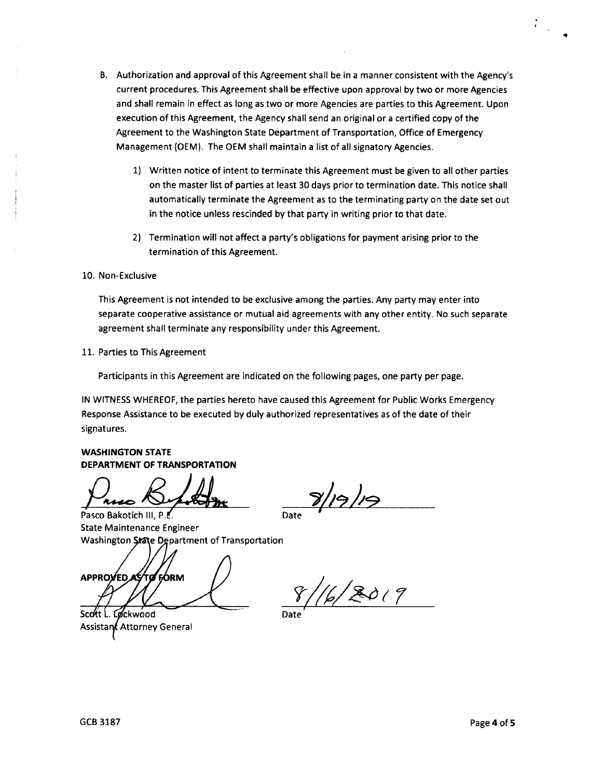- B. Authorization and approval of this Agreement shall be in a manner consistent with the Agency's current procedures. This Agreement shall be effective upon approval by two or more Agencies and shall remain in effect as long as two or more Agencies are parties to this Agreement. Upon execution of this Agreement, the Agency shall send an original or <sup>a</sup> certified copy of the Agreement to the Washington State Department of Transportation, Office of Emergency Management (OEM). The OEM shall maintain a list of all signatory Agencies.
	- 1) Written notice of intent to terminate this Agreement must be given to all other parties on the master list of parties at least 30 days prior to termination date. This notice shall automatically terminate the Agreement as to the terminating party on the date set out in the notice unless rescinded by that party in writing prior to that date.
	- 2) Termination will not affect a party's obligations for payment arising prior to the termination of this Agreement.

10. Non-Exclusive

i

This Agreement is not intended to be exclusive among the parties. Any party may enter into separate cooperative assistance or mutual aid agreements with any other entity. No such separate agreement shall terminate any responsibility under this Agreement.

11. Parties to This Agreement

Participants in this Agreement are indicated on the following pages, one party per page.

IN WITNESS WHEREOF, the parties hereto have caused this Agreement for Public Works Emergency Response Assistance to be executed by duly authorized representatives as of the date of their signatures.

### WASHINGTON STATE DEPARTMENT OF TRANSPORTATION

Pasco Beledit VIII Date

State Maintenance Engineer Washington State Department of Transportation

APPROVED AS TO FORM

Scott L. Løckwood Assistant Attorney General

 $\frac{8}{100}$ 

 $8/16/2019$